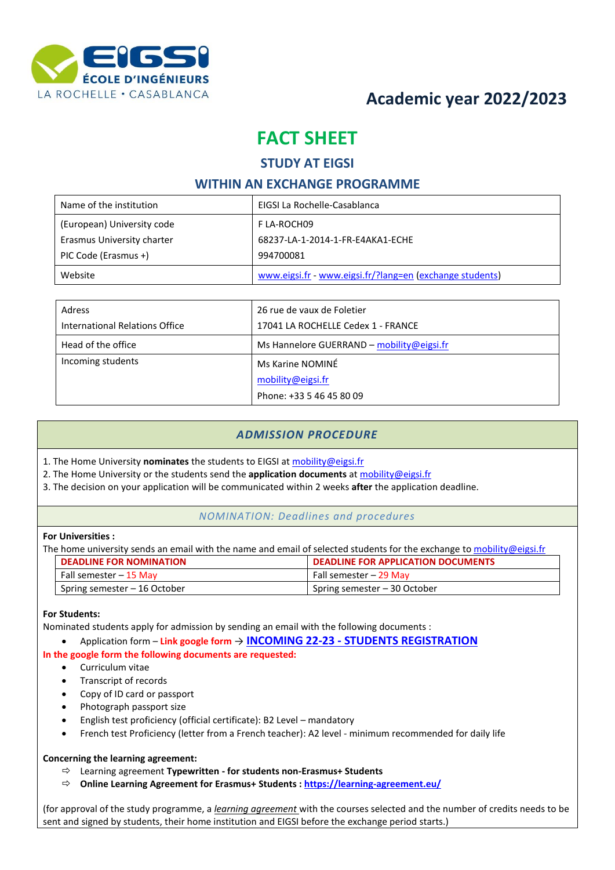

# **Academic year 2022/2023**

# **FACT SHEET**

#### **STUDY AT EIGSI**

## **WITHIN AN EXCHANGE PROGRAMME**

| Name of the institution    | EIGSI La Rochelle-Casablanca                             |
|----------------------------|----------------------------------------------------------|
| (European) University code | F LA-ROCH09                                              |
| Erasmus University charter | 68237-LA-1-2014-1-FR-E4AKA1-ECHE                         |
| PIC Code (Erasmus +)       | 994700081                                                |
| Website                    | www.eigsi.fr - www.eigsi.fr/?lang=en (exchange students) |

| Adress                         | 26 rue de vaux de Foletier                |
|--------------------------------|-------------------------------------------|
| International Relations Office | 17041 LA ROCHELLE Cedex 1 - FRANCE        |
| Head of the office             | Ms Hannelore GUERRAND – mobility@eigsi.fr |
| Incoming students              | Ms Karine NOMINÉ                          |
|                                | mobility@eigsi.fr                         |
|                                | Phone: +33 5 46 45 80 09                  |

## *ADMISSION PROCEDURE*

- 1. The Home University **nominates** the students to EIGSI at [mobility@eigsi.fr](mailto:mobility@eigsi.fr)
- 2. The Home University or the students send the **application documents** a[t mobility@eigsi.fr](mailto:incoming@eigsi.fr)
- 3. The decision on your application will be communicated within 2 weeks **after** the application deadline.

#### *NOMINATION: Deadlines and procedures*

#### **For Universities :**

The home university sends an email with the name and email of selected students for the exchange to [mobility@eigsi.fr](mailto:incoming@eigsi.fr)

| <b>DEADLINE FOR NOMINATION</b> | <b>DEADLINE FOR APPLICATION DOCUMENTS</b> |
|--------------------------------|-------------------------------------------|
| Fall semester – 15 May         | Fall semester - 29 May                    |
| Spring semester - 16 October   | Spring semester – 30 October              |

#### **For Students:**

Nominated students apply for admission by sending an email with the following documents :

• Application form – **Link google form** → **INCOMING 22-23 - [STUDENTS REGISTRATION](https://docs.google.com/forms/d/e/1FAIpQLSfoQ1JXCK3tpDHcQIKNdk1N9StTYUJ_ug5fr7GOTdZCuZOC-w/viewform?usp=sf_link)**

#### **In the google form the following documents are requested:**

- Curriculum vitae
- Transcript of records
- Copy of ID card or passport
- Photograph passport size
- English test proficiency (official certificate): B2 Level mandatory
- French test Proficiency (letter from a French teacher): A2 level minimum recommended for daily life

#### **Concerning the learning agreement:**

- Learning agreement **Typewritten - for students non-Erasmus+ Students**
- **Online Learning Agreement for Erasmus+ Students [: https://learning-agreement.eu/](https://learning-agreement.eu/)**

(for approval of the study programme, a *learning agreement* with the courses selected and the number of credits needs to be sent and signed by students, their home institution and EIGSI before the exchange period starts.)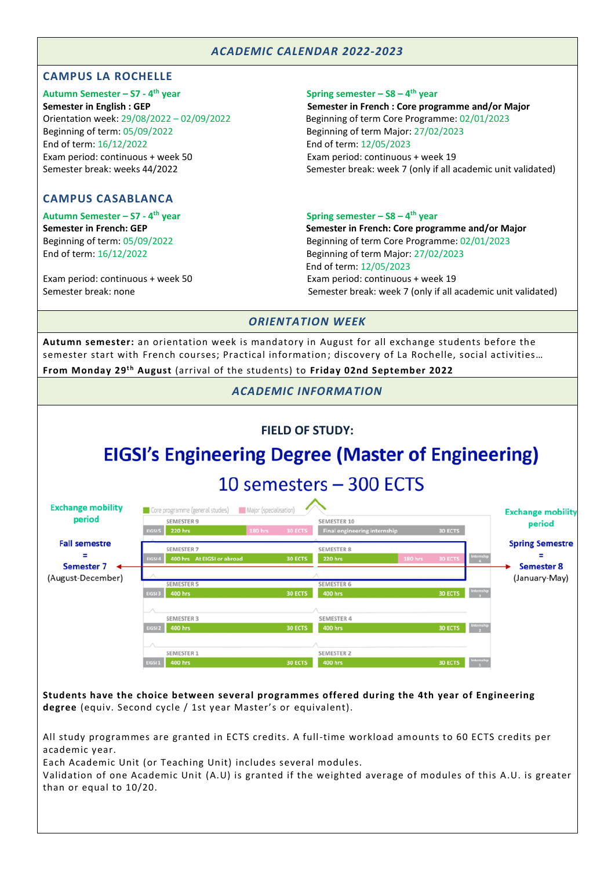## *ACADEMIC CALENDAR 2022-2023*

#### **CAMPUS LA ROCHELLE**

**Autumn Semester – S7 - 4** Beginning of term: 05/09/2022 Beginning of term Major: 27/02/2023 End of term: 16/12/2022 End of term: 12/05/2023 Exam period: continuous + week 50 Exam period: continuous + week 19

#### **CAMPUS CASABLANCA**

**Autumn Semester – S7 - 4**

Exam period: continuous + week 50 Exam period: continuous + week 19

**th year Spring semester – S8 – 4 th year**

**Semester in English : GEP Semester in French : Core programme and/or Major** Orientation week: 29/08/2022 – 02/09/2022 Beginning of term Core Programme: 02/01/2023 Semester break: weeks 44/2022 Semester break: week 7 (only if all academic unit validated)

#### **th year Spring semester – S8 – 4 th year**

**Semester in French: GEP Semester in French: Core programme and/or Major** Beginning of term: 05/09/2022 Beginning of term Core Programme: 02/01/2023 End of term: 16/12/2022 Beginning of term Major: 27/02/2023 End of term: 12/05/2023 Semester break: none Semester break: week 7 (only if all academic unit validated)

#### *ORIENTATION WEEK*

**Autumn semester:** an orientation week is mandatory in August for all exchange students before the semester start with French courses; Practical information; discovery of La Rochelle, social activities...

**From Monday 29 t h August** (arrival of the students) to **Friday 02nd September 2022**

*ACADEMIC INFORMATION*

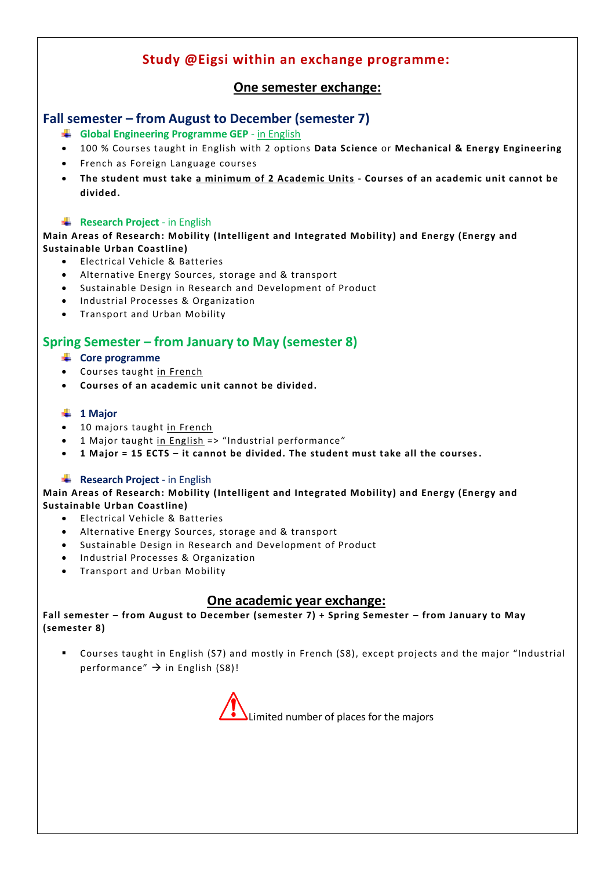# **Study @Eigsi within an exchange programme:**

# **One semester exchange:**

# **Fall semester – from August to December (semester 7)**

- **Global Engineering Programme GEP** in English
- 100 % Courses taught in English with 2 options **Data Science** or **Mechanical & Energy Engineering**
- French as Foreign Language courses
- **The student must take a minimum of 2 Academic Units - Courses of an academic unit cannot be divided.**

## **Research Project** - in English

**Main Areas of Research: Mobility (Intelligent and Integrated Mobility) and Energy (Energy and Sustainable Urban Coastline)**

- Electrical Vehicle & Batteries
- Alternative Energy Sources, storage and & transport
- Sustainable Design in Research and Development of Product
- Industrial Processes & Organization
- Transport and Urban Mobility

## **Spring Semester – from January to May (semester 8)**

- **Core programme**
- Courses taught in French
- **Courses of an academic unit cannot be divided.**

#### **1 Major**

- 10 majors taught in French
- 1 Major taught in English => "Industrial performance"
- **1 Major = 15 ECTS – it cannot be divided. The student must take all the courses.**

#### **Research Project** - in English

**Main Areas of Research: Mobility (Intelligent and Integrated Mobility) and Energy (Energy and Sustainable Urban Coastline)**

- Electrical Vehicle & Batteries
- Alternative Energy Sources, storage and & transport
- Sustainable Design in Research and Development of Product
- Industrial Processes & Organization
- Transport and Urban Mobility

## **One academic year exchange:**

**Fall semester – from August to December (semester 7) + Spring Semester – from January to May (semester 8)**

▪ Courses taught in English (S7) and mostly in French (S8), except projects and the major "Industrial performance"  $\rightarrow$  in English (S8)!

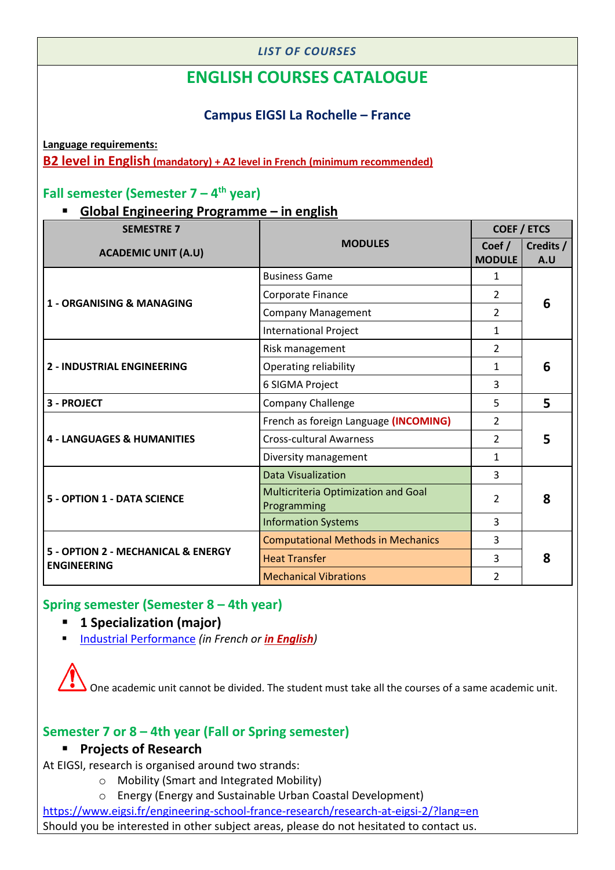## *LIST OF COURSES*

# **ENGLISH COURSES CATALOGUE**

# **Campus EIGSI La Rochelle – France**

**Language requirements: B2 level in English (mandatory) + A2 level in French (minimum recommended)**

# **Fall semester (Semester 7 – 4 th year)**

# ▪ **Global Engineering Programme – in english**

| <b>SEMESTRE 7</b>                                        |                                                           | <b>COEF / ETCS</b>      |                  |
|----------------------------------------------------------|-----------------------------------------------------------|-------------------------|------------------|
| <b>ACADEMIC UNIT (A.U)</b>                               | <b>MODULES</b>                                            | Coef /<br><b>MODULE</b> | Credits /<br>A.U |
|                                                          | <b>Business Game</b>                                      | $\mathbf{1}$            |                  |
|                                                          | Corporate Finance                                         | 2                       |                  |
| 1 - ORGANISING & MANAGING                                | <b>Company Management</b>                                 | $\mathcal{P}$           | 6                |
|                                                          | <b>International Project</b>                              | 1                       |                  |
|                                                          | Risk management                                           | $\mathcal{P}$           |                  |
| <b>2 - INDUSTRIAL ENGINEERING</b>                        | Operating reliability                                     | 1                       | 6                |
|                                                          | 6 SIGMA Project                                           | 3                       |                  |
| 3 - PROJECT                                              | <b>Company Challenge</b>                                  | 5                       | 5                |
|                                                          | French as foreign Language (INCOMING)                     | 2                       |                  |
| <b>4 - LANGUAGES &amp; HUMANITIES</b>                    | <b>Cross-cultural Awarness</b>                            | $\mathcal{P}$           | 5                |
|                                                          | Diversity management                                      | $\mathbf{1}$            |                  |
|                                                          | <b>Data Visualization</b>                                 | 3                       |                  |
| <b>5 - OPTION 1 - DATA SCIENCE</b>                       | <b>Multicriteria Optimization and Goal</b><br>Programming | 2                       | 8                |
|                                                          | <b>Information Systems</b>                                | 3                       |                  |
|                                                          | <b>Computational Methods in Mechanics</b>                 | 3                       |                  |
| 5 - OPTION 2 - MECHANICAL & ENERGY<br><b>ENGINEERING</b> | <b>Heat Transfer</b>                                      | 3                       | 8                |
|                                                          | <b>Mechanical Vibrations</b>                              | 2                       |                  |

# **Spring semester (Semester 8 – 4th year)**

- **1 Specialization (major)**
- [Industrial Performance](https://www.eigsi.fr/formation/industrial-systems-engineering-and-management-major/?lang=en) *(in French or in English)*

One academic unit cannot be divided. The student must take all the courses of a same academic unit.

# **Semester 7 or 8 – 4th year (Fall or Spring semester)**

## ▪ **Projects of Research**

At EIGSI, research is organised around two strands:

- o Mobility (Smart and Integrated Mobility)
- o Energy (Energy and Sustainable Urban Coastal Development)

<https://www.eigsi.fr/engineering-school-france-research/research-at-eigsi-2/?lang=en> Should you be interested in other subject areas, please do not hesitated to contact us.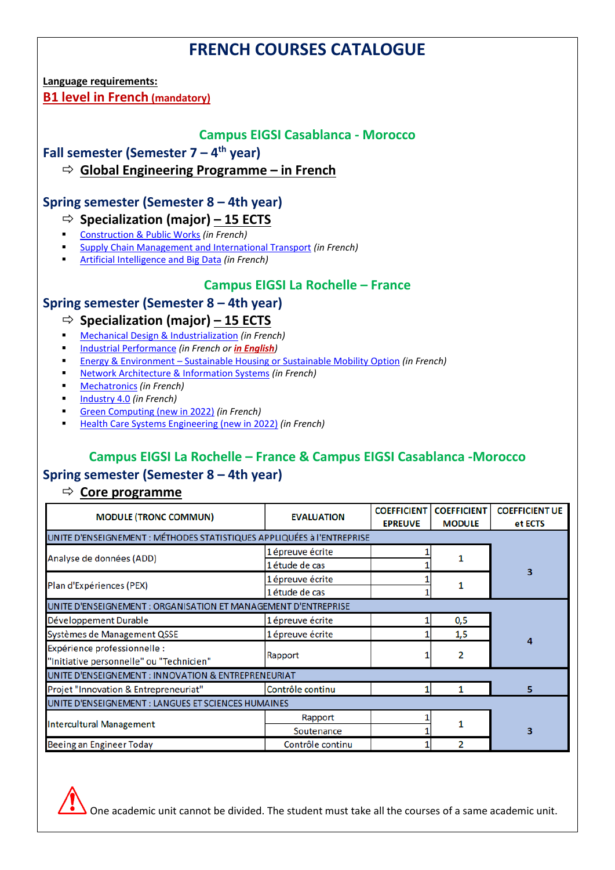# **FRENCH COURSES CATALOGUE**

**Language requirements:** 

**B1 level in French (mandatory)**

## **Campus EIGSI Casablanca - Morocco**

**Fall semester (Semester 7 – 4 th year)** 

**Global Engineering Programme – in French** 

# **Spring semester (Semester 8 – 4th year)**

## **Specialization (major) – 15 ECTS**

- [Construction & Public Works](https://www.eigsi.fr/formation/construction-and-public-works-major/?lang=en) *(in French)*
- [Supply Chain Management and International Transport](https://www.eigsi.fr/formation/supply-chain-management-and-international-transport-major/?lang=en) *(in French)*
- [Artificial Intelligence and Big Data](https://www.eigsi.fr/formation/artificial-intelligence-and-big-data-major/?lang=en) *(in French)*

# **Campus EIGSI La Rochelle – France**

# **Spring semester (Semester 8 – 4th year)**

# **Specialization (major) – 15 ECTS**

- [Mechanical Design & Industrialization](https://www.eigsi.fr/formation/design-and-industrialization-of-mechanical-systems-major/?lang=en) *(in French)*
- [Industrial Performance](https://www.eigsi.fr/formation/industrial-systems-engineering-and-management-major/?lang=en) *(in French or in English)*
- Energy & Environment [Sustainable Housing or Sustainable Mobility Option](https://www.eigsi.fr/formation/energy-and-environment-majors-transport-or-construction-applications/?lang=en) *(in French)*
- [Network Architecture & Information Systems](https://www.eigsi.fr/formation/integration-of-networks-and-information-systems-major/?lang=en) *(in French)*
- [Mechatronics](https://www.eigsi.fr/formation/mechatronics-major/?lang=en) *(in French)*
- **[Industry 4.0](https://www.eigsi.fr/formation/industry4-0/?lang=en)** (in French)
- [Green Computing \(new in 2022\)](https://www.eigsi.fr/formation/green-computing-major/?lang=en) *(in French)*
- [Health Care Systems Engineering \(new in 2022\)](https://www.eigsi.fr/formation/healthcare-systems-engineering-major/?lang=en) *(in French)*

# **Campus EIGSI La Rochelle – France & Campus EIGSI Casablanca -Morocco Spring semester (Semester 8 – 4th year)**

# **Core programme**

| <b>MODULE (TRONC COMMUN)</b>                                             | <b>EVALUATION</b> | <b>COEFFICIENT</b><br><b>EPREUVE</b> | <b>COEFFICIENT</b><br><b>MODULE</b> | <b>COEFFICIENT UE</b><br>et ECTS |  |
|--------------------------------------------------------------------------|-------------------|--------------------------------------|-------------------------------------|----------------------------------|--|
| UNITE D'ENSEIGNEMENT : MÉTHODES STATISTIQUES APPLIQUÉES à l'ENTREPRISE   |                   |                                      |                                     |                                  |  |
|                                                                          | 1 épreuve écrite  |                                      |                                     |                                  |  |
| Analyse de données (ADD)                                                 | 1 étude de cas    |                                      |                                     |                                  |  |
| Plan d'Expériences (PEX)                                                 | 1 épreuve écrite  |                                      |                                     |                                  |  |
|                                                                          | 1 étude de cas    |                                      |                                     |                                  |  |
| UNITE D'ENSEIGNEMENT : ORGANISATION ET MANAGEMENT D'ENTREPRISE           |                   |                                      |                                     |                                  |  |
| Développement Durable                                                    | 1 épreuve écrite  |                                      | 0,5                                 |                                  |  |
| Systèmes de Management QSSE                                              | 1 épreuve écrite  |                                      | 1,5                                 | Δ                                |  |
| Expérience professionnelle :<br>"Initiative personnelle" ou "Technicien" | Rapport           |                                      | 2                                   |                                  |  |
| UNITE D'ENSEIGNEMENT : INNOVATION & ENTREPRENEURIAT                      |                   |                                      |                                     |                                  |  |
| Projet "Innovation & Entrepreneuriat"                                    | Contrôle continu  |                                      |                                     | 5                                |  |
| UNITE D'ENSEIGNEMENT : LANGUES ET SCIENCES HUMAINES                      |                   |                                      |                                     |                                  |  |
|                                                                          | Rapport           |                                      |                                     |                                  |  |
| <b>Intercultural Management</b>                                          | Soutenance        |                                      |                                     | 3                                |  |
| Beeing an Engineer Today                                                 | Contrôle continu  |                                      |                                     |                                  |  |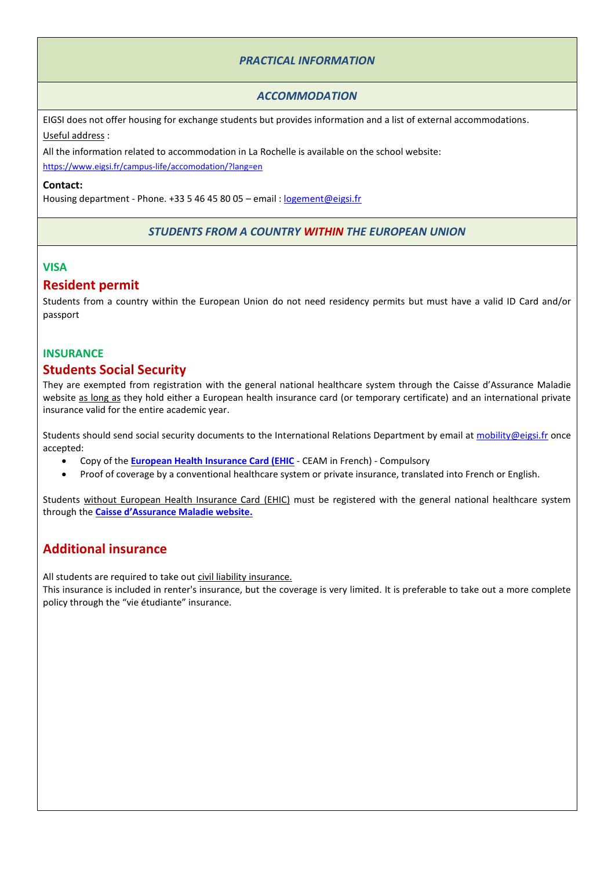## *PRACTICAL INFORMATION*

#### *ACCOMMODATION*

EIGSI does not offer housing for exchange students but provides information and a list of external accommodations. Useful address :

All the information related to accommodation in La Rochelle is available on the school website:

<https://www.eigsi.fr/campus-life/accomodation/?lang=en>

#### **Contact:**

Housing department - Phone. +33 5 46 45 80 05 – email : [logement@eigsi.fr](mailto:logement@eigsi.fr)

#### *STUDENTS FROM A COUNTRY WITHIN THE EUROPEAN UNION*

#### **VISA**

## **Resident permit**

Students from a country within the European Union do not need residency permits but must have a valid ID Card and/or passport

#### **INSURANCE**

## **Students Social Security**

They are exempted from registration with the general national healthcare system through the Caisse d'Assurance Maladie website as long as they hold either a European health insurance card (or temporary certificate) and an international private insurance valid for the entire academic year.

Students should send social security documents to the International Relations Department by email at [mobility@eigsi.fr](mailto:mobility@eigsi.fr) once accepted:

- Copy of the **[European Health Insurance Card \(EHIC](https://ec.europa.eu/social/main.jsp?catId=559)** CEAM in French) Compulsory
- Proof of coverage by a conventional healthcare system or private insurance, translated into French or English.

Students without [European Health Insurance Card \(EHIC\)](https://ec.europa.eu/social/main.jsp?catId=559) must be registered with the general national healthcare system through the **[Caisse d'Assurance Maladie website](https://etudiant-etranger.ameli.fr/#/).**

## **Additional insurance**

All students are required to take out civil liability insurance.

This insurance is included in renter's insurance, but the coverage is very limited. It is preferable to take out a more complete policy through the "vie étudiante" insurance.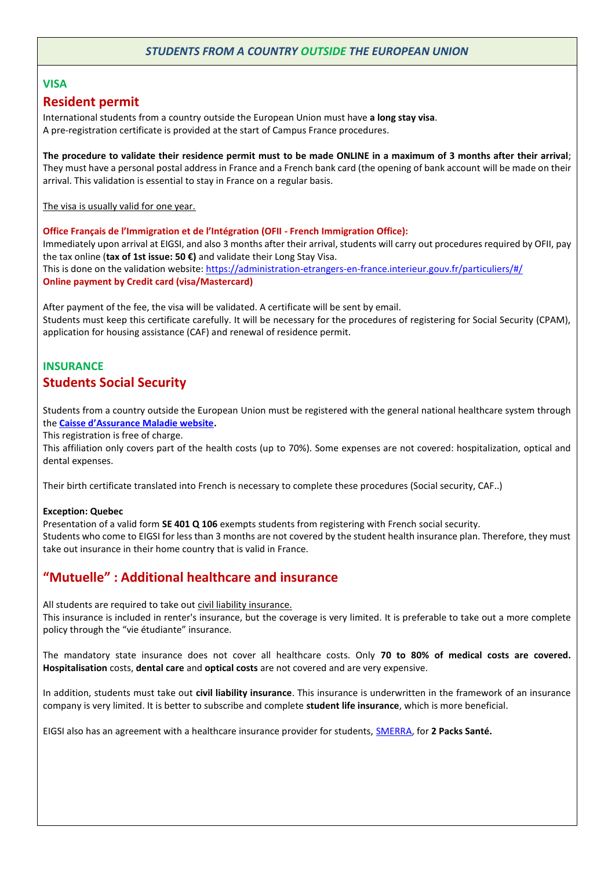## *STUDENTS FROM A COUNTRY OUTSIDE THE EUROPEAN UNION*

#### **VISA**

## **Resident permit**

International students from a country outside the European Union must have **a long stay visa**. A pre-registration certificate is provided at the start of Campus France procedures.

**The procedure to validate their residence permit must to be made ONLINE in a maximum of 3 months after their arrival**; They must have a personal postal address in France and a French bank card (the opening of bank account will be made on their arrival. This validation is essential to stay in France on a regular basis.

The visa is usually valid for one year.

**Office Français de l'Immigration et de l'Intégration (OFII - French Immigration Office):**  Immediately upon arrival at EIGSI, and also 3 months after their arrival, students will carry out procedures required by OFII, pay the tax online (**tax of 1st issue: 50 €)** and validate their Long Stay Visa. This is done on the validation website[: https://administration-etrangers-en-france.interieur.gouv.fr/particuliers/#/](https://administration-etrangers-en-france.interieur.gouv.fr/particuliers/#/) **Online payment by Credit card (visa/Mastercard)**

After payment of the fee, the visa will be validated. A certificate will be sent by email. Students must keep this certificate carefully. It will be necessary for the procedures of registering for Social Security (CPAM), application for housing assistance (CAF) and renewal of residence permit.

# **INSURANCE Students Social Security**

Students from a country outside the European Union must be registered with the general national healthcare system through the **[Caisse d'Assurance Maladie website](https://etudiant-etranger.ameli.fr/#/).**

This registration is free of charge.

This affiliation only covers part of the health costs (up to 70%). Some expenses are not covered: hospitalization, optical and dental expenses.

Their birth certificate translated into French is necessary to complete these procedures (Social security, CAF..)

#### **Exception: Quebec**

Presentation of a valid form **SE 401 Q 106** exempts students from registering with French social security. Students who come to EIGSI for less than 3 months are not covered by the student health insurance plan. Therefore, they must take out insurance in their home country that is valid in France.

# **"Mutuelle" : Additional healthcare and insurance**

All students are required to take out civil liability insurance.

This insurance is included in renter's insurance, but the coverage is very limited. It is preferable to take out a more complete policy through the "vie étudiante" insurance.

The mandatory state insurance does not cover all healthcare costs. Only **70 to 80% of medical costs are covered. Hospitalisation** costs, **dental care** and **optical costs** are not covered and are very expensive.

In addition, students must take out **civil liability insurance**. This insurance is underwritten in the framework of an insurance company is very limited. It is better to subscribe and complete **student life insurance**, which is more beneficial.

EIGSI also has an agreement with a healthcare insurance provider for students, [SMERRA,](https://smerra.fr/) for **2 Packs Santé.**